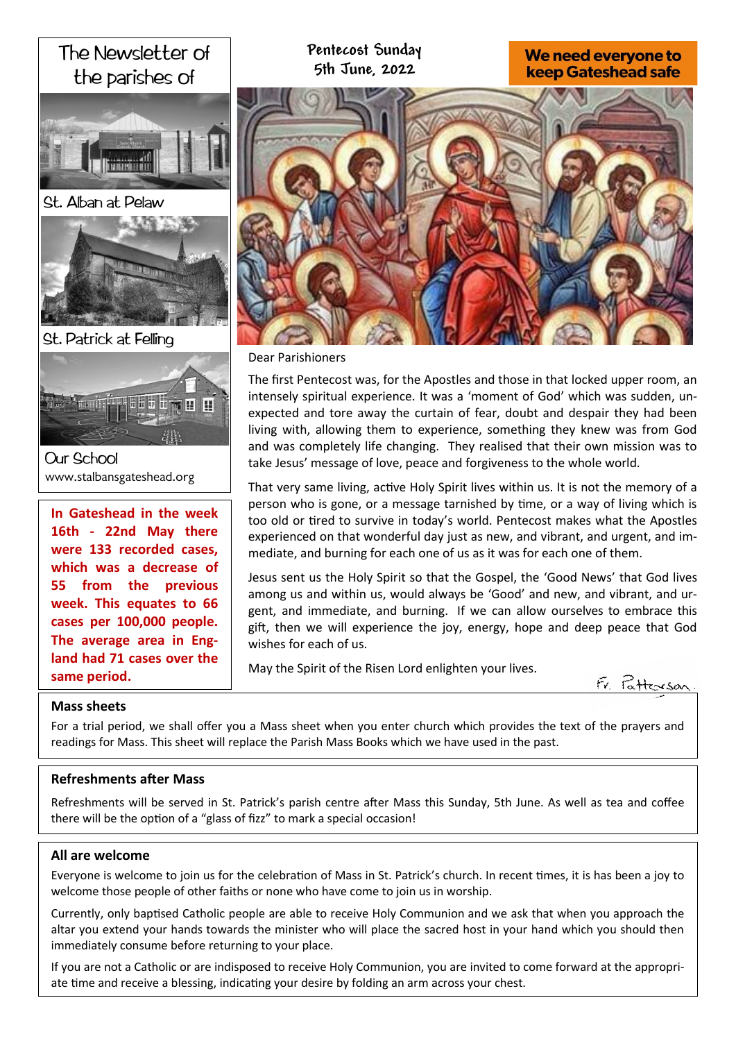

# **Pentecost Sunday 5th June, 2022**

# We need everyone to **keep Gateshead safe**



Dear Parishioners

The first Pentecost was, for the Apostles and those in that locked upper room, an intensely spiritual experience. It was a 'moment of God' which was sudden, unexpected and tore away the curtain of fear, doubt and despair they had been living with, allowing them to experience, something they knew was from God and was completely life changing. They realised that their own mission was to take Jesus' message of love, peace and forgiveness to the whole world.

That very same living, active Holy Spirit lives within us. It is not the memory of a person who is gone, or a message tarnished by time, or a way of living which is too old or tired to survive in today's world. Pentecost makes what the Apostles experienced on that wonderful day just as new, and vibrant, and urgent, and immediate, and burning for each one of us as it was for each one of them.

Jesus sent us the Holy Spirit so that the Gospel, the 'Good News' that God lives among us and within us, would always be 'Good' and new, and vibrant, and urgent, and immediate, and burning. If we can allow ourselves to embrace this gift, then we will experience the joy, energy, hope and deep peace that God wishes for each of us.

May the Spirit of the Risen Lord enlighten your lives.

Tatterson

# **Mass sheets**

**same period.** 

For a trial period, we shall offer you a Mass sheet when you enter church which provides the text of the prayers and readings for Mass. This sheet will replace the Parish Mass Books which we have used in the past.

# **Refreshments after Mass**

**cases per 100,000 people. The average area in England had 71 cases over the** 

Refreshments will be served in St. Patrick's parish centre after Mass this Sunday, 5th June. As well as tea and coffee there will be the option of a "glass of fizz" to mark a special occasion!

### **All are welcome**

Everyone is welcome to join us for the celebration of Mass in St. Patrick's church. In recent times, it is has been a joy to welcome those people of other faiths or none who have come to join us in worship.

Currently, only baptised Catholic people are able to receive Holy Communion and we ask that when you approach the altar you extend your hands towards the minister who will place the sacred host in your hand which you should then immediately consume before returning to your place.

If you are not a Catholic or are indisposed to receive Holy Communion, you are invited to come forward at the appropriate time and receive a blessing, indicating your desire by folding an arm across your chest.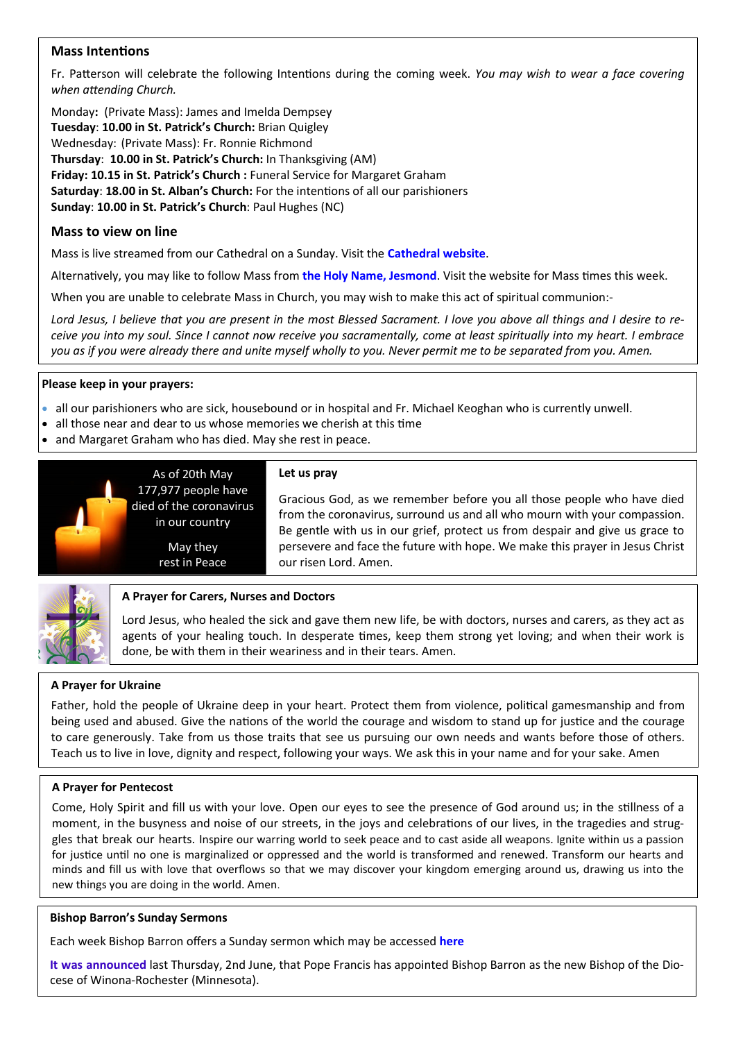# **Mass Intentions**

Fr. Patterson will celebrate the following Intentions during the coming week. *You may wish to wear a face covering when attending Church.*

Monday**:** (Private Mass): James and Imelda Dempsey **Tuesday**: **10.00 in St. Patrick's Church:** Brian Quigley Wednesday: (Private Mass): Fr. Ronnie Richmond **Thursday**: **10.00 in St. Patrick's Church:** In Thanksgiving (AM) **Friday: 10.15 in St. Patrick's Church :** Funeral Service for Margaret Graham **Saturday**: **18.00 in St. Alban's Church:** For the intentions of all our parishioners **Sunday**: **10.00 in St. Patrick's Church**: Paul Hughes (NC)

# **Mass to view on line**

Mass is live streamed from our Cathedral on a Sunday. Visit the **[Cathedral website](https://www.youtube.com/channel/UC12EvW0Eqg-cFTh5i2y_EQw)**.

Alternatively, you may like to follow Mass from **the [Holy Name, Jesmond](https://www.youtube.com/channel/UCnVss0mkVR2GKS5VPJOEsDA)**. Visit the website for Mass times this week.

When you are unable to celebrate Mass in Church, you may wish to make this act of spiritual communion:-

*Lord Jesus, I believe that you are present in the most Blessed Sacrament. I love you above all things and I desire to receive you into my soul. Since I cannot now receive you sacramentally, come at least spiritually into my heart. I embrace you as if you were already there and unite myself wholly to you. Never permit me to be separated from you. Amen.*

## **Please keep in your prayers:**

- all our parishioners who are sick, housebound or in hospital and Fr. Michael Keoghan who is currently unwell.
- all those near and dear to us whose memories we cherish at this time
- and Margaret Graham who has died. May she rest in peace.



### **Let us pray**

Gracious God, as we remember before you all those people who have died from the coronavirus, surround us and all who mourn with your compassion. Be gentle with us in our grief, protect us from despair and give us grace to persevere and face the future with hope. We make this prayer in Jesus Christ our risen Lord. Amen.



# **A Prayer for Carers, Nurses and Doctors**

Lord Jesus, who healed the sick and gave them new life, be with doctors, nurses and carers, as they act as agents of your healing touch. In desperate times, keep them strong yet loving; and when their work is done, be with them in their weariness and in their tears. Amen.

# **A Prayer for Ukraine**

Father, hold the people of Ukraine deep in your heart. Protect them from violence, political gamesmanship and from being used and abused. Give the nations of the world the courage and wisdom to stand up for justice and the courage to care generously. Take from us those traits that see us pursuing our own needs and wants before those of others. Teach us to live in love, dignity and respect, following your ways. We ask this in your name and for your sake. Amen

### **A Prayer for Pentecost**

Come, Holy Spirit and fill us with your love. Open our eyes to see the presence of God around us; in the stillness of a moment, in the busyness and noise of our streets, in the joys and celebrations of our lives, in the tragedies and struggles that break our hearts. Inspire our warring world to seek peace and to cast aside all weapons. Ignite within us a passion for justice until no one is marginalized or oppressed and the world is transformed and renewed. Transform our hearts and minds and fill us with love that overflows so that we may discover your kingdom emerging around us, drawing us into the new things you are doing in the world. Amen.

### **Bishop Barron's Sunday Sermons**

Each week Bishop Barron offers a Sunday sermon which may be accessed **[here](https://www.wordonfire.org/videos/sermons/)**

**[It was announced](https://www.wordonfire.org/articles/barron/bishop-barron-diocese-winona-rochester/)** last Thursday, 2nd June, that Pope Francis has appointed Bishop Barron as the new Bishop of the Diocese of Winona-Rochester (Minnesota).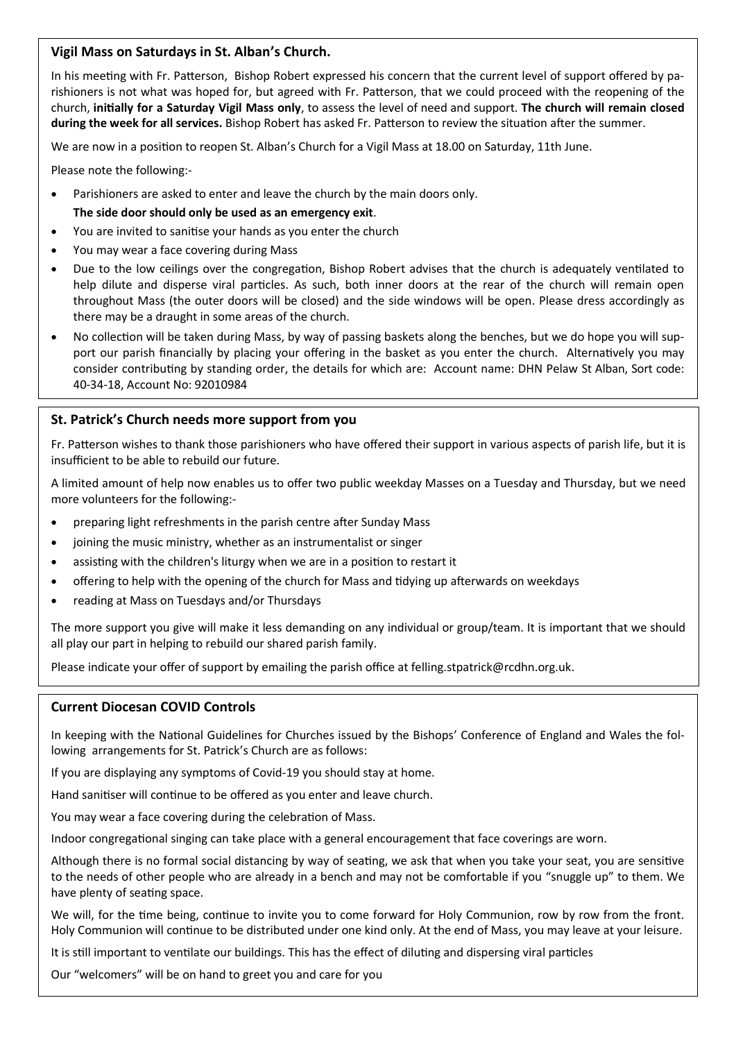## **Vigil Mass on Saturdays in St. Alban's Church.**

In his meeting with Fr. Patterson, Bishop Robert expressed his concern that the current level of support offered by parishioners is not what was hoped for, but agreed with Fr. Patterson, that we could proceed with the reopening of the church, **initially for a Saturday Vigil Mass only**, to assess the level of need and support. **The church will remain closed during the week for all services.** Bishop Robert has asked Fr. Patterson to review the situation after the summer.

We are now in a position to reopen St. Alban's Church for a Vigil Mass at 18.00 on Saturday, 11th June.

Please note the following:-

- Parishioners are asked to enter and leave the church by the main doors only.
	- **The side door should only be used as an emergency exit**.
- You are invited to sanitise your hands as you enter the church
- You may wear a face covering during Mass
- Due to the low ceilings over the congregation, Bishop Robert advises that the church is adequately ventilated to help dilute and disperse viral particles. As such, both inner doors at the rear of the church will remain open throughout Mass (the outer doors will be closed) and the side windows will be open. Please dress accordingly as there may be a draught in some areas of the church.
- No collection will be taken during Mass, by way of passing baskets along the benches, but we do hope you will support our parish financially by placing your offering in the basket as you enter the church. Alternatively you may consider contributing by standing order, the details for which are: Account name: DHN Pelaw St Alban, Sort code: 40-34-18, Account No: 92010984

# **St. Patrick's Church needs more support from you**

Fr. Patterson wishes to thank those parishioners who have offered their support in various aspects of parish life, but it is insufficient to be able to rebuild our future.

A limited amount of help now enables us to offer two public weekday Masses on a Tuesday and Thursday, but we need more volunteers for the following:-

- preparing light refreshments in the parish centre after Sunday Mass
- joining the music ministry, whether as an instrumentalist or singer
- assisting with the children's liturgy when we are in a position to restart it
- offering to help with the opening of the church for Mass and tidying up afterwards on weekdays
- reading at Mass on Tuesdays and/or Thursdays

The more support you give will make it less demanding on any individual or group/team. It is important that we should all play our part in helping to rebuild our shared parish family.

Please indicate your offer of support by emailing the parish office at felling.stpatrick@rcdhn.org.uk.

### **Current Diocesan COVID Controls**

In keeping with the National Guidelines for Churches issued by the Bishops' Conference of England and Wales the following arrangements for St. Patrick's Church are as follows:

If you are displaying any symptoms of Covid-19 you should stay at home.

Hand sanitiser will continue to be offered as you enter and leave church.

You may wear a face covering during the celebration of Mass.

Indoor congregational singing can take place with a general encouragement that face coverings are worn.

Although there is no formal social distancing by way of seating, we ask that when you take your seat, you are sensitive to the needs of other people who are already in a bench and may not be comfortable if you "snuggle up" to them. We have plenty of seating space.

We will, for the time being, continue to invite you to come forward for Holy Communion, row by row from the front. Holy Communion will continue to be distributed under one kind only. At the end of Mass, you may leave at your leisure.

It is still important to ventilate our buildings. This has the effect of diluting and dispersing viral particles

Our "welcomers" will be on hand to greet you and care for you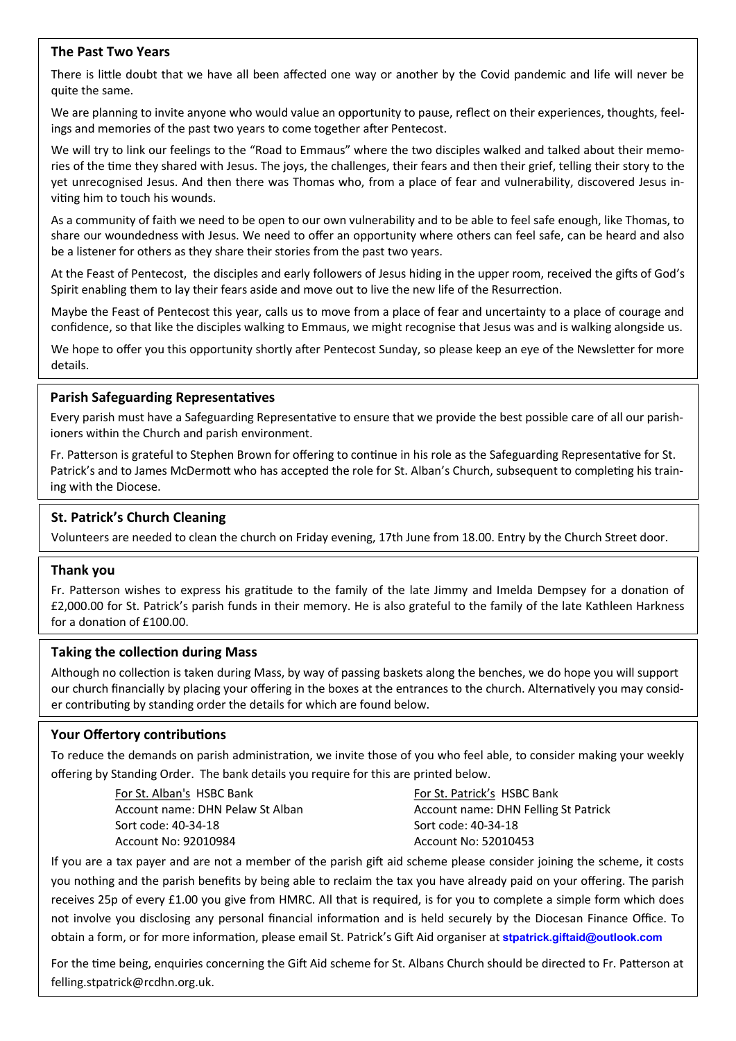### **The Past Two Years**

There is little doubt that we have all been affected one way or another by the Covid pandemic and life will never be quite the same.

We are planning to invite anyone who would value an opportunity to pause, reflect on their experiences, thoughts, feelings and memories of the past two years to come together after Pentecost.

We will try to link our feelings to the "Road to Emmaus" where the two disciples walked and talked about their memories of the time they shared with Jesus. The joys, the challenges, their fears and then their grief, telling their story to the yet unrecognised Jesus. And then there was Thomas who, from a place of fear and vulnerability, discovered Jesus inviting him to touch his wounds.

As a community of faith we need to be open to our own vulnerability and to be able to feel safe enough, like Thomas, to share our woundedness with Jesus. We need to offer an opportunity where others can feel safe, can be heard and also be a listener for others as they share their stories from the past two years.

At the Feast of Pentecost, the disciples and early followers of Jesus hiding in the upper room, received the gifts of God's Spirit enabling them to lay their fears aside and move out to live the new life of the Resurrection.

Maybe the Feast of Pentecost this year, calls us to move from a place of fear and uncertainty to a place of courage and confidence, so that like the disciples walking to Emmaus, we might recognise that Jesus was and is walking alongside us.

We hope to offer you this opportunity shortly after Pentecost Sunday, so please keep an eye of the Newsletter for more details.

## **Parish Safeguarding Representatives**

Every parish must have a Safeguarding Representative to ensure that we provide the best possible care of all our parishioners within the Church and parish environment.

Fr. Patterson is grateful to Stephen Brown for offering to continue in his role as the Safeguarding Representative for St. Patrick's and to James McDermott who has accepted the role for St. Alban's Church, subsequent to completing his training with the Diocese.

# **St. Patrick's Church Cleaning**

Volunteers are needed to clean the church on Friday evening, 17th June from 18.00. Entry by the Church Street door.

### **Thank you**

Fr. Patterson wishes to express his gratitude to the family of the late Jimmy and Imelda Dempsey for a donation of £2,000.00 for St. Patrick's parish funds in their memory. He is also grateful to the family of the late Kathleen Harkness for a donation of £100.00.

### **Taking the collection during Mass**

Although no collection is taken during Mass, by way of passing baskets along the benches, we do hope you will support our church financially by placing your offering in the boxes at the entrances to the church. Alternatively you may consider contributing by standing order the details for which are found below.

# **Your Offertory contributions**

To reduce the demands on parish administration, we invite those of you who feel able, to consider making your weekly offering by Standing Order. The bank details you require for this are printed below.

> For St. Alban's HSBC Bank Account name: DHN Pelaw St Alban Sort code: 40-34-18 Account No: 92010984

For St. Patrick's HSBC Bank Account name: DHN Felling St Patrick Sort code: 40-34-18 Account No: 52010453

If you are a tax payer and are not a member of the parish gift aid scheme please consider joining the scheme, it costs you nothing and the parish benefits by being able to reclaim the tax you have already paid on your offering. The parish receives 25p of every £1.00 you give from HMRC. All that is required, is for you to complete a simple form which does not involve you disclosing any personal financial information and is held securely by the Diocesan Finance Office. To obtain a form, or for more information, please email St. Patrick's Gift Aid organiser at **[stpatrick.giftaid@outlook.com](mailto:stpatrick.giftaid@outlook.com)**

For the time being, enquiries concerning the Gift Aid scheme for St. Albans Church should be directed to Fr. Patterson at felling.stpatrick@rcdhn.org.uk.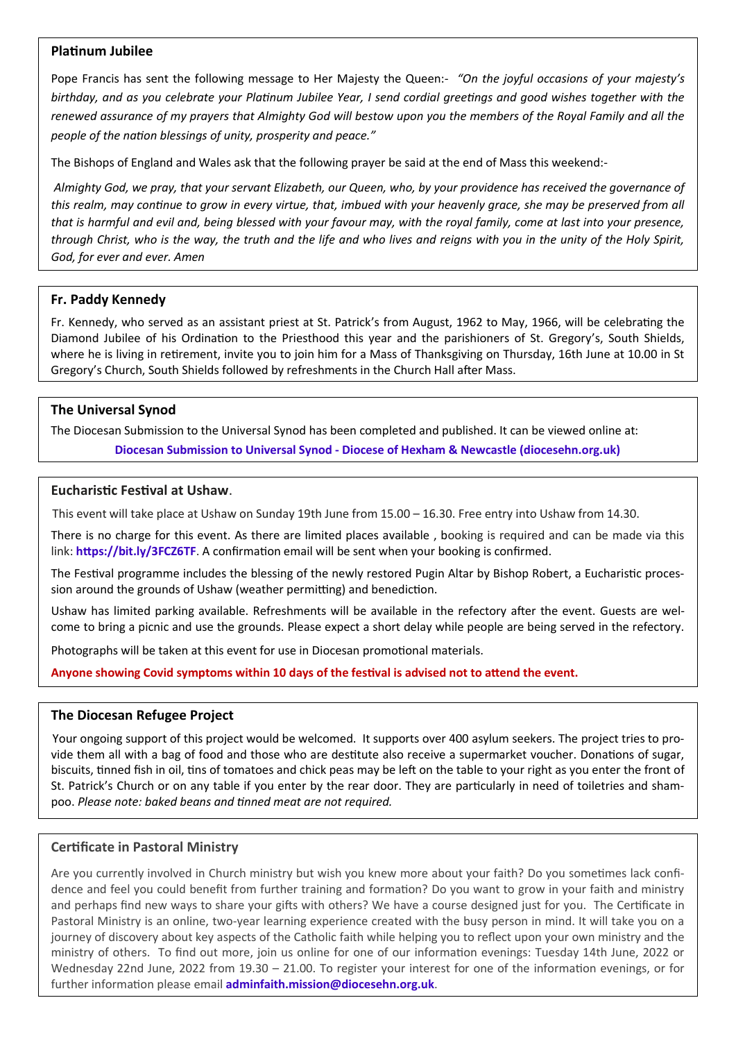## **Platinum Jubilee**

Pope Francis has sent the following message to Her Majesty the Queen:- *"On the joyful occasions of your majesty's birthday, and as you celebrate your Platinum Jubilee Year, I send cordial greetings and good wishes together with the renewed assurance of my prayers that Almighty God will bestow upon you the members of the Royal Family and all the people of the nation blessings of unity, prosperity and peace."* 

The Bishops of England and Wales ask that the following prayer be said at the end of Mass this weekend:-

*Almighty God, we pray, that your servant Elizabeth, our Queen, who, by your providence has received the governance of this realm, may continue to grow in every virtue, that, imbued with your heavenly grace, she may be preserved from all that is harmful and evil and, being blessed with your favour may, with the royal family, come at last into your presence, through Christ, who is the way, the truth and the life and who lives and reigns with you in the unity of the Holy Spirit, God, for ever and ever. Amen*

### **Fr. Paddy Kennedy**

Fr. Kennedy, who served as an assistant priest at St. Patrick's from August, 1962 to May, 1966, will be celebrating the Diamond Jubilee of his Ordination to the Priesthood this year and the parishioners of St. Gregory's, South Shields, where he is living in retirement, invite you to join him for a Mass of Thanksgiving on Thursday, 16th June at 10.00 in St Gregory's Church, South Shields followed by refreshments in the Church Hall after Mass.

# **The Universal Synod**

The Diocesan Submission to the Universal Synod has been completed and published. It can be viewed online at: **Diocesan Submission to Universal Synod - [Diocese of Hexham & Newcastle \(diocesehn.org.uk\)](https://diocesehn.org.uk/news/diocesan-submission-to-universal-synod/)**

#### **Eucharistic Festival at Ushaw**.

This event will take place at Ushaw on Sunday 19th June from 15.00 – 16.30. Free entry into Ushaw from 14.30.

There is no charge for this event. As there are limited places available , booking is required and can be made via this link: **<https://bit.ly/3FCZ6TF>**. A confirmation email will be sent when your booking is confirmed.

The Festival programme includes the blessing of the newly restored Pugin Altar by Bishop Robert, a Eucharistic procession around the grounds of Ushaw (weather permitting) and benediction.

Ushaw has limited parking available. Refreshments will be available in the refectory after the event. Guests are welcome to bring a picnic and use the grounds. Please expect a short delay while people are being served in the refectory.

Photographs will be taken at this event for use in Diocesan promotional materials.

**Anyone showing Covid symptoms within 10 days of the festival is advised not to attend the event.**

### **The Diocesan Refugee Project**

Your ongoing support of this project would be welcomed. It supports over 400 asylum seekers. The project tries to provide them all with a bag of food and those who are destitute also receive a supermarket voucher. Donations of sugar, biscuits, tinned fish in oil, tins of tomatoes and chick peas may be left on the table to your right as you enter the front of St. Patrick's Church or on any table if you enter by the rear door. They are particularly in need of toiletries and shampoo. *Please note: baked beans and tinned meat are not required.*

### **Certificate in Pastoral Ministry**

Are you currently involved in Church ministry but wish you knew more about your faith? Do you sometimes lack confidence and feel you could benefit from further training and formation? Do you want to grow in your faith and ministry and perhaps find new ways to share your gifts with others? We have a course designed just for you. The Certificate in Pastoral Ministry is an online, two-year learning experience created with the busy person in mind. It will take you on a journey of discovery about key aspects of the Catholic faith while helping you to reflect upon your own ministry and the ministry of others. To find out more, join us online for one of our information evenings: Tuesday 14th June, 2022 or Wednesday 22nd June, 2022 from 19.30 – 21.00. To register your interest for one of the information evenings, or for further information please email **[adminfaith.mission@diocesehn.org.uk](mailto:adminfaith.mission@diocesehn.org.uk)**.